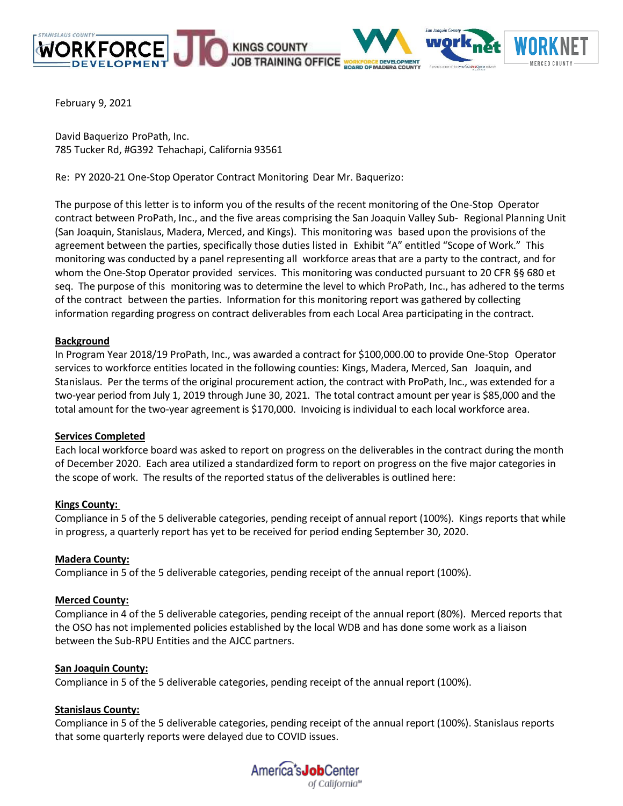







February 9, 2021

David Baquerizo ProPath, Inc. 785 Tucker Rd, #G392 Tehachapi, California 93561

Re: PY 2020-21 One-Stop Operator Contract Monitoring Dear Mr. Baquerizo:

The purpose of this letter is to inform you of the results of the recent monitoring of the One-Stop Operator contract between ProPath, Inc., and the five areas comprising the San Joaquin Valley Sub- Regional Planning Unit (San Joaquin, Stanislaus, Madera, Merced, and Kings). This monitoring was based upon the provisions of the agreement between the parties, specifically those duties listed in Exhibit "A" entitled "Scope of Work." This monitoring was conducted by a panel representing all workforce areas that are a party to the contract, and for whom the One-Stop Operator provided services. This monitoring was conducted pursuant to 20 CFR §§ 680 et seq. The purpose of this monitoring was to determine the level to which ProPath, Inc., has adhered to the terms of the contract between the parties. Information for this monitoring report was gathered by collecting information regarding progress on contract deliverables from each Local Area participating in the contract.

# **Background**

In Program Year 2018/19 ProPath, Inc., was awarded a contract for \$100,000.00 to provide One-Stop Operator services to workforce entities located in the following counties: Kings, Madera, Merced, San Joaquin, and Stanislaus. Per the terms of the original procurement action, the contract with ProPath, Inc., was extended for a two-year period from July 1, 2019 through June 30, 2021. The total contract amount per year is \$85,000 and the total amount for the two-year agreement is \$170,000. Invoicing is individual to each local workforce area.

# **Services Completed**

Each local workforce board was asked to report on progress on the deliverables in the contract during the month of December 2020. Each area utilized a standardized form to report on progress on the five major categories in the scope of work. The results of the reported status of the deliverables is outlined here:

# **Kings County:**

Compliance in 5 of the 5 deliverable categories, pending receipt of annual report (100%). Kings reports that while in progress, a quarterly report has yet to be received for period ending September 30, 2020.

# **Madera County:**

Compliance in 5 of the 5 deliverable categories, pending receipt of the annual report (100%).

# **Merced County:**

Compliance in 4 of the 5 deliverable categories, pending receipt of the annual report (80%). Merced reports that the OSO has not implemented policies established by the local WDB and has done some work as a liaison between the Sub-RPU Entities and the AJCC partners.

# **San Joaquin County:**

Compliance in 5 of the 5 deliverable categories, pending receipt of the annual report (100%).

# **Stanislaus County:**

Compliance in 5 of the 5 deliverable categories, pending receipt of the annual report (100%). Stanislaus reports that some quarterly reports were delayed due to COVID issues.

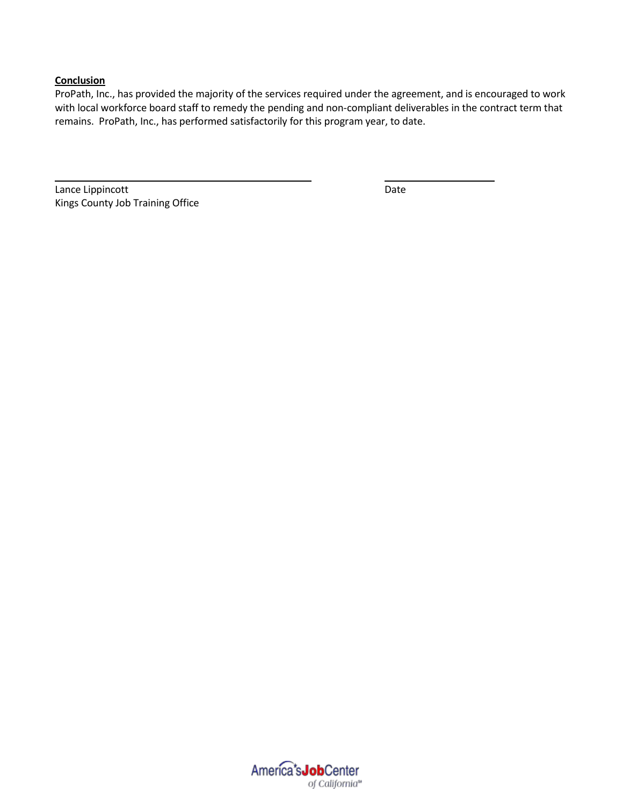ProPath, Inc., has provided the majority of the services required under the agreement, and is encouraged to work with local workforce board staff to remedy the pending and non-compliant deliverables in the contract term that remains. ProPath, Inc., has performed satisfactorily for this program year, to date.

Lance Lippincott **Date** Kings County Job Training Office

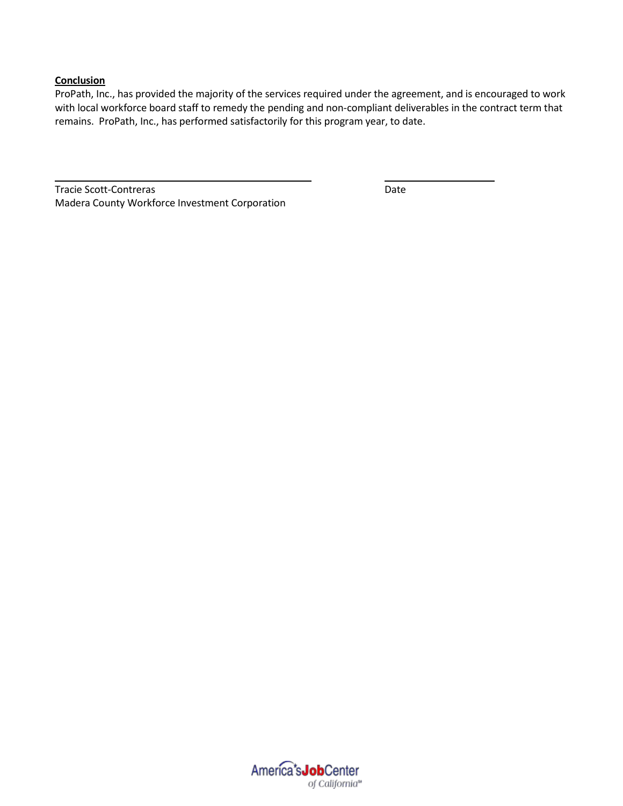ProPath, Inc., has provided the majority of the services required under the agreement, and is encouraged to work with local workforce board staff to remedy the pending and non-compliant deliverables in the contract term that remains. ProPath, Inc., has performed satisfactorily for this program year, to date.

Tracie Scott-Contreras Date Madera County Workforce Investment Corporation

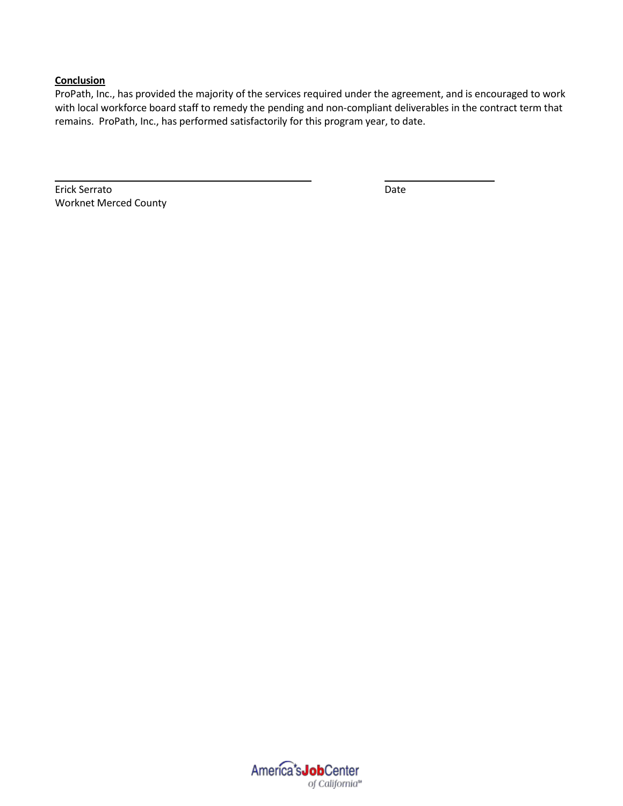ProPath, Inc., has provided the majority of the services required under the agreement, and is encouraged to work with local workforce board staff to remedy the pending and non-compliant deliverables in the contract term that remains. ProPath, Inc., has performed satisfactorily for this program year, to date.

Erick Serrato Date Worknet Merced County

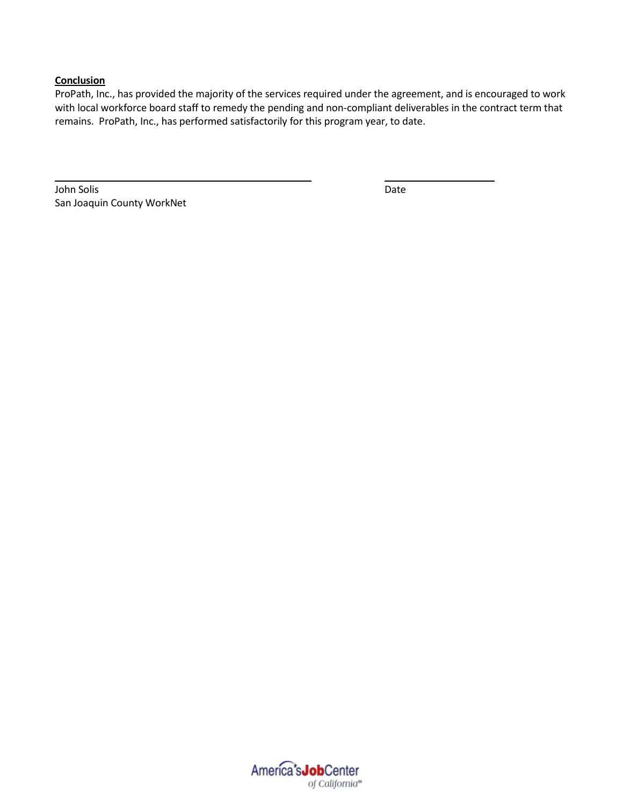ProPath, Inc., has provided the majority of the services required under the agreement, and is encouraged to work with local workforce board staff to remedy the pending and non-compliant deliverables in the contract term that remains. ProPath, Inc., has performed satisfactorily for this program year, to date.

John Solis Date San Joaquin County WorkNet